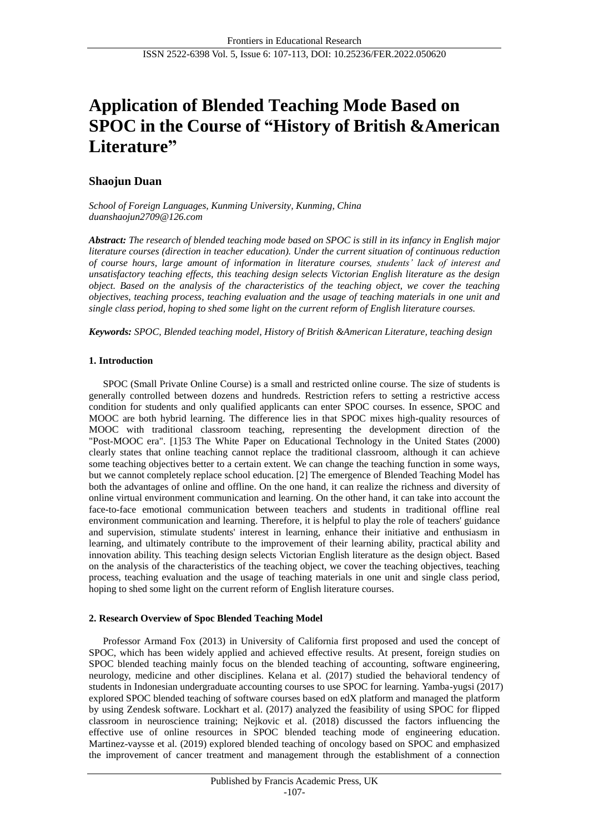# **Application of Blended Teaching Mode Based on SPOC in the Course of "History of British &American Literature"**

# **Shaojun Duan**

*School of Foreign Languages, Kunming University, Kunming, China duanshaojun2709@126.com*

*Abstract: The research of blended teaching mode based on SPOC is still in its infancy in English major literature courses (direction in teacher education). Under the current situation of continuous reduction of course hours, large amount of information in literature courses, students' lack of interest and unsatisfactory teaching effects, this teaching design selects Victorian English literature as the design object. Based on the analysis of the characteristics of the teaching object, we cover the teaching objectives, teaching process, teaching evaluation and the usage of teaching materials in one unit and single class period, hoping to shed some light on the current reform of English literature courses.*

*Keywords: SPOC, Blended teaching model, History of British &American Literature, teaching design* 

# **1. Introduction**

SPOC (Small Private Online Course) is a small and restricted online course. The size of students is generally controlled between dozens and hundreds. Restriction refers to setting a restrictive access condition for students and only qualified applicants can enter SPOC courses. In essence, SPOC and MOOC are both hybrid learning. The difference lies in that SPOC mixes high-quality resources of MOOC with traditional classroom teaching, representing the development direction of the "Post-MOOC era". [1]53 The White Paper on Educational Technology in the United States (2000) clearly states that online teaching cannot replace the traditional classroom, although it can achieve some teaching objectives better to a certain extent. We can change the teaching function in some ways, but we cannot completely replace school education. [2] The emergence of Blended Teaching Model has both the advantages of online and offline. On the one hand, it can realize the richness and diversity of online virtual environment communication and learning. On the other hand, it can take into account the face-to-face emotional communication between teachers and students in traditional offline real environment communication and learning. Therefore, it is helpful to play the role of teachers' guidance and supervision, stimulate students' interest in learning, enhance their initiative and enthusiasm in learning, and ultimately contribute to the improvement of their learning ability, practical ability and innovation ability. This teaching design selects Victorian English literature as the design object. Based on the analysis of the characteristics of the teaching object, we cover the teaching objectives, teaching process, teaching evaluation and the usage of teaching materials in one unit and single class period, hoping to shed some light on the current reform of English literature courses.

## **2. Research Overview of Spoc Blended Teaching Model**

Professor Armand Fox (2013) in University of California first proposed and used the concept of SPOC, which has been widely applied and achieved effective results. At present, foreign studies on SPOC blended teaching mainly focus on the blended teaching of accounting, software engineering, neurology, medicine and other disciplines. Kelana et al. (2017) studied the behavioral tendency of students in Indonesian undergraduate accounting courses to use SPOC for learning. Yamba-yugsi (2017) explored SPOC blended teaching of software courses based on edX platform and managed the platform by using Zendesk software. Lockhart et al. (2017) analyzed the feasibility of using SPOC for flipped classroom in neuroscience training; Nejkovic et al. (2018) discussed the factors influencing the effective use of online resources in SPOC blended teaching mode of engineering education. Martinez-vaysse et al. (2019) explored blended teaching of oncology based on SPOC and emphasized the improvement of cancer treatment and management through the establishment of a connection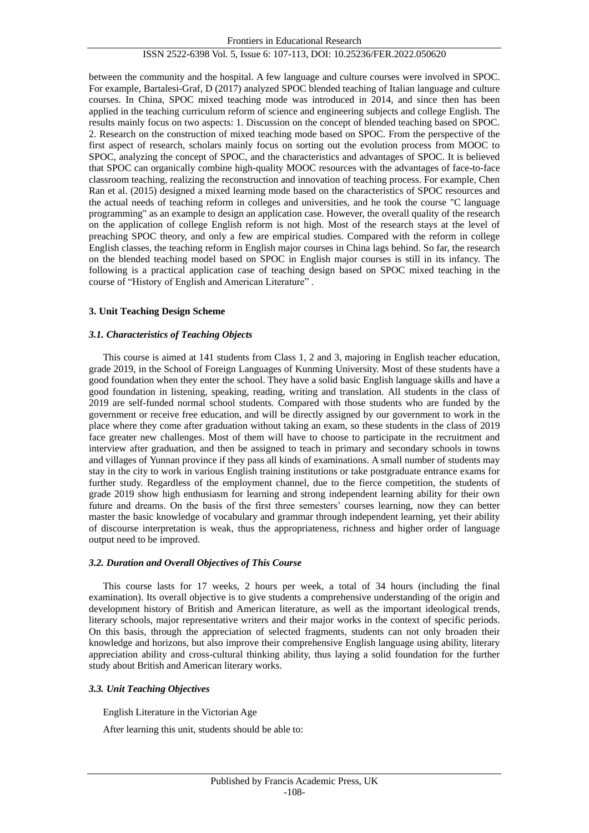between the community and the hospital. A few language and culture courses were involved in SPOC. For example, Bartalesi-Graf, D (2017) analyzed SPOC blended teaching of Italian language and culture courses. In China, SPOC mixed teaching mode was introduced in 2014, and since then has been applied in the teaching curriculum reform of science and engineering subjects and college English. The results mainly focus on two aspects: 1. Discussion on the concept of blended teaching based on SPOC. 2. Research on the construction of mixed teaching mode based on SPOC. From the perspective of the first aspect of research, scholars mainly focus on sorting out the evolution process from MOOC to SPOC, analyzing the concept of SPOC, and the characteristics and advantages of SPOC. It is believed that SPOC can organically combine high-quality MOOC resources with the advantages of face-to-face classroom teaching, realizing the reconstruction and innovation of teaching process. For example, Chen Ran et al. (2015) designed a mixed learning mode based on the characteristics of SPOC resources and the actual needs of teaching reform in colleges and universities, and he took the course "C language programming" as an example to design an application case. However, the overall quality of the research on the application of college English reform is not high. Most of the research stays at the level of preaching SPOC theory, and only a few are empirical studies. Compared with the reform in college English classes, the teaching reform in English major courses in China lags behind. So far, the research on the blended teaching model based on SPOC in English major courses is still in its infancy. The following is a practical application case of teaching design based on SPOC mixed teaching in the course of "History of English and American Literature" .

## **3. Unit Teaching Design Scheme**

#### *3.1. Characteristics of Teaching Objects*

This course is aimed at 141 students from Class 1, 2 and 3, majoring in English teacher education, grade 2019, in the School of Foreign Languages of Kunming University. Most of these students have a good foundation when they enter the school. They have a solid basic English language skills and have a good foundation in listening, speaking, reading, writing and translation. All students in the class of 2019 are self-funded normal school students. Compared with those students who are funded by the government or receive free education, and will be directly assigned by our government to work in the place where they come after graduation without taking an exam, so these students in the class of 2019 face greater new challenges. Most of them will have to choose to participate in the recruitment and interview after graduation, and then be assigned to teach in primary and secondary schools in towns and villages of Yunnan province if they pass all kinds of examinations. A small number of students may stay in the city to work in various English training institutions or take postgraduate entrance exams for further study. Regardless of the employment channel, due to the fierce competition, the students of grade 2019 show high enthusiasm for learning and strong independent learning ability for their own future and dreams. On the basis of the first three semesters' courses learning, now they can better master the basic knowledge of vocabulary and grammar through independent learning, yet their ability of discourse interpretation is weak, thus the appropriateness, richness and higher order of language output need to be improved.

## *3.2. Duration and Overall Objectives of This Course*

This course lasts for 17 weeks, 2 hours per week, a total of 34 hours (including the final examination). Its overall objective is to give students a comprehensive understanding of the origin and development history of British and American literature, as well as the important ideological trends, literary schools, major representative writers and their major works in the context of specific periods. On this basis, through the appreciation of selected fragments, students can not only broaden their knowledge and horizons, but also improve their comprehensive English language using ability, literary appreciation ability and cross-cultural thinking ability, thus laying a solid foundation for the further study about British and American literary works.

#### *3.3. Unit Teaching Objectives*

English Literature in the Victorian Age

After learning this unit, students should be able to: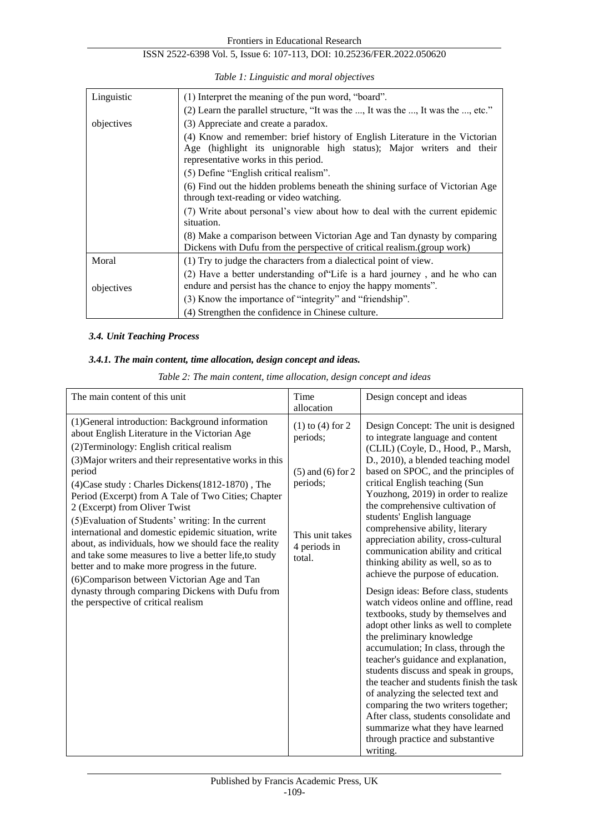| Linguistic | (1) Interpret the meaning of the pun word, "board".                                                                                                                                         |  |  |  |  |  |
|------------|---------------------------------------------------------------------------------------------------------------------------------------------------------------------------------------------|--|--|--|--|--|
|            | (2) Learn the parallel structure, "It was the , It was the , It was the , etc."                                                                                                             |  |  |  |  |  |
| objectives | (3) Appreciate and create a paradox.                                                                                                                                                        |  |  |  |  |  |
|            | (4) Know and remember: brief history of English Literature in the Victorian<br>Age (highlight its unignorable high status); Major writers and their<br>representative works in this period. |  |  |  |  |  |
|            | (5) Define "English critical realism".                                                                                                                                                      |  |  |  |  |  |
|            | (6) Find out the hidden problems beneath the shining surface of Victorian Age<br>through text-reading or video watching.                                                                    |  |  |  |  |  |
|            | (7) Write about personal's view about how to deal with the current epidemic<br>situation.                                                                                                   |  |  |  |  |  |
|            | (8) Make a comparison between Victorian Age and Tan dynasty by comparing<br>Dickens with Dufu from the perspective of critical realism.(group work)                                         |  |  |  |  |  |
| Moral      | (1) Try to judge the characters from a dialectical point of view.                                                                                                                           |  |  |  |  |  |
| objectives | (2) Have a better understanding of 'Life is a hard journey, and he who can<br>endure and persist has the chance to enjoy the happy moments".                                                |  |  |  |  |  |
|            | (3) Know the importance of "integrity" and "friendship".                                                                                                                                    |  |  |  |  |  |
|            | (4) Strengthen the confidence in Chinese culture.                                                                                                                                           |  |  |  |  |  |

*Table 1: Linguistic and moral objectives*

# *3.4. Unit Teaching Process*

# *3.4.1. The main content, time allocation, design concept and ideas.*

|  |  | Table 2: The main content, time allocation, design concept and ideas |  |  |
|--|--|----------------------------------------------------------------------|--|--|
|  |  |                                                                      |  |  |

| The main content of this unit                                                                                                                                                                                                                                                                                                                                                                                                                                                                                                                                                                                                                                                                                                                                                                   | Time<br>allocation                                                                                                 | Design concept and ideas                                                                                                                                                                                                                                                                                                                                                                                                                                                                                                                                                                                                                                                                                                                                                                                                                                                                                                                                                                                                                                                                                         |
|-------------------------------------------------------------------------------------------------------------------------------------------------------------------------------------------------------------------------------------------------------------------------------------------------------------------------------------------------------------------------------------------------------------------------------------------------------------------------------------------------------------------------------------------------------------------------------------------------------------------------------------------------------------------------------------------------------------------------------------------------------------------------------------------------|--------------------------------------------------------------------------------------------------------------------|------------------------------------------------------------------------------------------------------------------------------------------------------------------------------------------------------------------------------------------------------------------------------------------------------------------------------------------------------------------------------------------------------------------------------------------------------------------------------------------------------------------------------------------------------------------------------------------------------------------------------------------------------------------------------------------------------------------------------------------------------------------------------------------------------------------------------------------------------------------------------------------------------------------------------------------------------------------------------------------------------------------------------------------------------------------------------------------------------------------|
| (1) General introduction: Background information<br>about English Literature in the Victorian Age<br>(2) Terminology: English critical realism<br>(3) Major writers and their representative works in this<br>period<br>(4) Case study: Charles Dickens (1812-1870), The<br>Period (Excerpt) from A Tale of Two Cities; Chapter<br>2 (Excerpt) from Oliver Twist<br>(5) Evaluation of Students' writing: In the current<br>international and domestic epidemic situation, write<br>about, as individuals, how we should face the reality<br>and take some measures to live a better life,to study<br>better and to make more progress in the future.<br>(6) Comparison between Victorian Age and Tan<br>dynasty through comparing Dickens with Dufu from<br>the perspective of critical realism | $(1)$ to $(4)$ for 2<br>periods;<br>$(5)$ and $(6)$ for 2<br>periods;<br>This unit takes<br>4 periods in<br>total. | Design Concept: The unit is designed<br>to integrate language and content<br>(CLIL) (Coyle, D., Hood, P., Marsh,<br>D., 2010), a blended teaching model<br>based on SPOC, and the principles of<br>critical English teaching (Sun<br>Youzhong, 2019) in order to realize<br>the comprehensive cultivation of<br>students' English language<br>comprehensive ability, literary<br>appreciation ability, cross-cultural<br>communication ability and critical<br>thinking ability as well, so as to<br>achieve the purpose of education.<br>Design ideas: Before class, students<br>watch videos online and offline, read<br>textbooks, study by themselves and<br>adopt other links as well to complete<br>the preliminary knowledge<br>accumulation; In class, through the<br>teacher's guidance and explanation,<br>students discuss and speak in groups,<br>the teacher and students finish the task<br>of analyzing the selected text and<br>comparing the two writers together;<br>After class, students consolidate and<br>summarize what they have learned<br>through practice and substantive<br>writing. |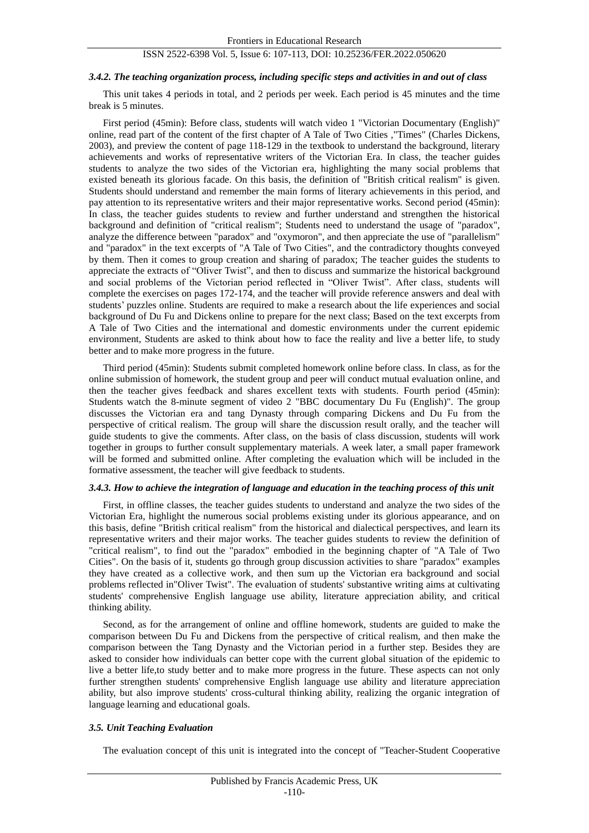#### *3.4.2. The teaching organization process, including specific steps and activities in and out of class*

This unit takes 4 periods in total, and 2 periods per week. Each period is 45 minutes and the time break is 5 minutes.

First period (45min): Before class, students will watch video 1 "Victorian Documentary (English)" online, read part of the content of the first chapter of A Tale of Two Cities ,"Times" (Charles Dickens, 2003), and preview the content of page 118-129 in the textbook to understand the background, literary achievements and works of representative writers of the Victorian Era. In class, the teacher guides students to analyze the two sides of the Victorian era, highlighting the many social problems that existed beneath its glorious facade. On this basis, the definition of "British critical realism" is given. Students should understand and remember the main forms of literary achievements in this period, and pay attention to its representative writers and their major representative works. Second period (45min): In class, the teacher guides students to review and further understand and strengthen the historical background and definition of "critical realism"; Students need to understand the usage of "paradox", analyze the difference between "paradox" and "oxymoron", and then appreciate the use of "parallelism" and "paradox" in the text excerpts of "A Tale of Two Cities", and the contradictory thoughts conveyed by them. Then it comes to group creation and sharing of paradox; The teacher guides the students to appreciate the extracts of "Oliver Twist", and then to discuss and summarize the historical background and social problems of the Victorian period reflected in "Oliver Twist". After class, students will complete the exercises on pages 172-174, and the teacher will provide reference answers and deal with students' puzzles online. Students are required to make a research about the life experiences and social background of Du Fu and Dickens online to prepare for the next class; Based on the text excerpts from A Tale of Two Cities and the international and domestic environments under the current epidemic environment, Students are asked to think about how to face the reality and live a better life, to study better and to make more progress in the future.

Third period (45min): Students submit completed homework online before class. In class, as for the online submission of homework, the student group and peer will conduct mutual evaluation online, and then the teacher gives feedback and shares excellent texts with students. Fourth period (45min): Students watch the 8-minute segment of video 2 "BBC documentary Du Fu (English)". The group discusses the Victorian era and tang Dynasty through comparing Dickens and Du Fu from the perspective of critical realism. The group will share the discussion result orally, and the teacher will guide students to give the comments. After class, on the basis of class discussion, students will work together in groups to further consult supplementary materials. A week later, a small paper framework will be formed and submitted online. After completing the evaluation which will be included in the formative assessment, the teacher will give feedback to students.

#### *3.4.3. How to achieve the integration of language and education in the teaching process of this unit*

First, in offline classes, the teacher guides students to understand and analyze the two sides of the Victorian Era, highlight the numerous social problems existing under its glorious appearance, and on this basis, define "British critical realism" from the historical and dialectical perspectives, and learn its representative writers and their major works. The teacher guides students to review the definition of "critical realism", to find out the "paradox" embodied in the beginning chapter of "A Tale of Two Cities". On the basis of it, students go through group discussion activities to share "paradox" examples they have created as a collective work, and then sum up the Victorian era background and social problems reflected in"Oliver Twist". The evaluation of students' substantive writing aims at cultivating students' comprehensive English language use ability, literature appreciation ability, and critical thinking ability.

Second, as for the arrangement of online and offline homework, students are guided to make the comparison between Du Fu and Dickens from the perspective of critical realism, and then make the comparison between the Tang Dynasty and the Victorian period in a further step. Besides they are asked to consider how individuals can better cope with the current global situation of the epidemic to live a better life,to study better and to make more progress in the future. These aspects can not only further strengthen students' comprehensive English language use ability and literature appreciation ability, but also improve students' cross-cultural thinking ability, realizing the organic integration of language learning and educational goals.

## *3.5. Unit Teaching Evaluation*

The evaluation concept of this unit is integrated into the concept of "Teacher-Student Cooperative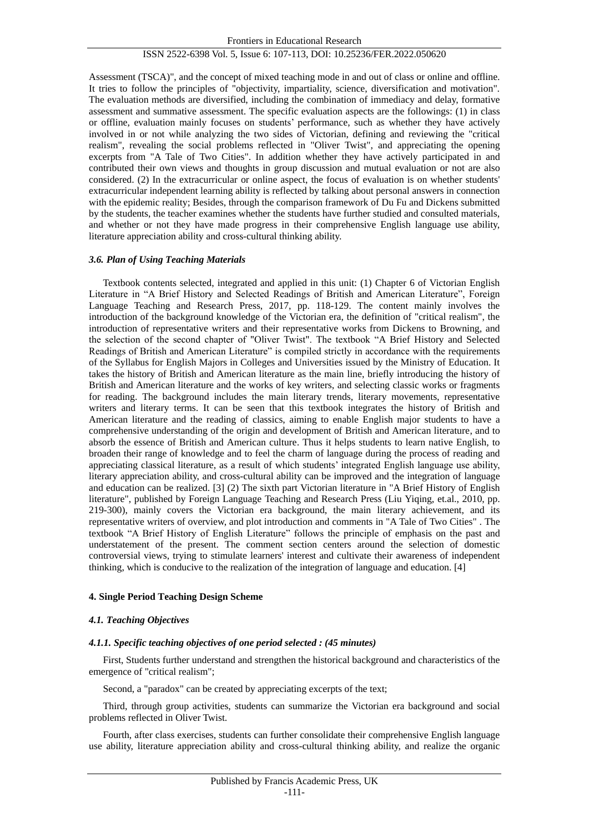Assessment (TSCA)", and the concept of mixed teaching mode in and out of class or online and offline. It tries to follow the principles of "objectivity, impartiality, science, diversification and motivation". The evaluation methods are diversified, including the combination of immediacy and delay, formative assessment and summative assessment. The specific evaluation aspects are the followings: (1) in class or offline, evaluation mainly focuses on students' performance, such as whether they have actively involved in or not while analyzing the two sides of Victorian, defining and reviewing the "critical realism", revealing the social problems reflected in "Oliver Twist", and appreciating the opening excerpts from "A Tale of Two Cities". In addition whether they have actively participated in and contributed their own views and thoughts in group discussion and mutual evaluation or not are also considered. (2) In the extracurricular or online aspect, the focus of evaluation is on whether students' extracurricular independent learning ability is reflected by talking about personal answers in connection with the epidemic reality; Besides, through the comparison framework of Du Fu and Dickens submitted by the students, the teacher examines whether the students have further studied and consulted materials, and whether or not they have made progress in their comprehensive English language use ability, literature appreciation ability and cross-cultural thinking ability.

#### *3.6. Plan of Using Teaching Materials*

Textbook contents selected, integrated and applied in this unit: (1) Chapter 6 of Victorian English Literature in "A Brief History and Selected Readings of British and American Literature", Foreign Language Teaching and Research Press, 2017, pp. 118-129. The content mainly involves the introduction of the background knowledge of the Victorian era, the definition of "critical realism", the introduction of representative writers and their representative works from Dickens to Browning, and the selection of the second chapter of "Oliver Twist". The textbook "A Brief History and Selected Readings of British and American Literature" is compiled strictly in accordance with the requirements of the Syllabus for English Majors in Colleges and Universities issued by the Ministry of Education. It takes the history of British and American literature as the main line, briefly introducing the history of British and American literature and the works of key writers, and selecting classic works or fragments for reading. The background includes the main literary trends, literary movements, representative writers and literary terms. It can be seen that this textbook integrates the history of British and American literature and the reading of classics, aiming to enable English major students to have a comprehensive understanding of the origin and development of British and American literature, and to absorb the essence of British and American culture. Thus it helps students to learn native English, to broaden their range of knowledge and to feel the charm of language during the process of reading and appreciating classical literature, as a result of which students' integrated English language use ability, literary appreciation ability, and cross-cultural ability can be improved and the integration of language and education can be realized. [3] (2) The sixth part Victorian literature in "A Brief History of English literature", published by Foreign Language Teaching and Research Press (Liu Yiqing, et.al., 2010, pp. 219-300), mainly covers the Victorian era background, the main literary achievement, and its representative writers of overview, and plot introduction and comments in "A Tale of Two Cities" . The textbook "A Brief History of English Literature" follows the principle of emphasis on the past and understatement of the present. The comment section centers around the selection of domestic controversial views, trying to stimulate learners' interest and cultivate their awareness of independent thinking, which is conducive to the realization of the integration of language and education. [4]

#### **4. Single Period Teaching Design Scheme**

#### *4.1. Teaching Objectives*

#### *4.1.1. Specific teaching objectives of one period selected : (45 minutes)*

First, Students further understand and strengthen the historical background and characteristics of the emergence of "critical realism";

Second, a "paradox" can be created by appreciating excerpts of the text;

Third, through group activities, students can summarize the Victorian era background and social problems reflected in Oliver Twist.

Fourth, after class exercises, students can further consolidate their comprehensive English language use ability, literature appreciation ability and cross-cultural thinking ability, and realize the organic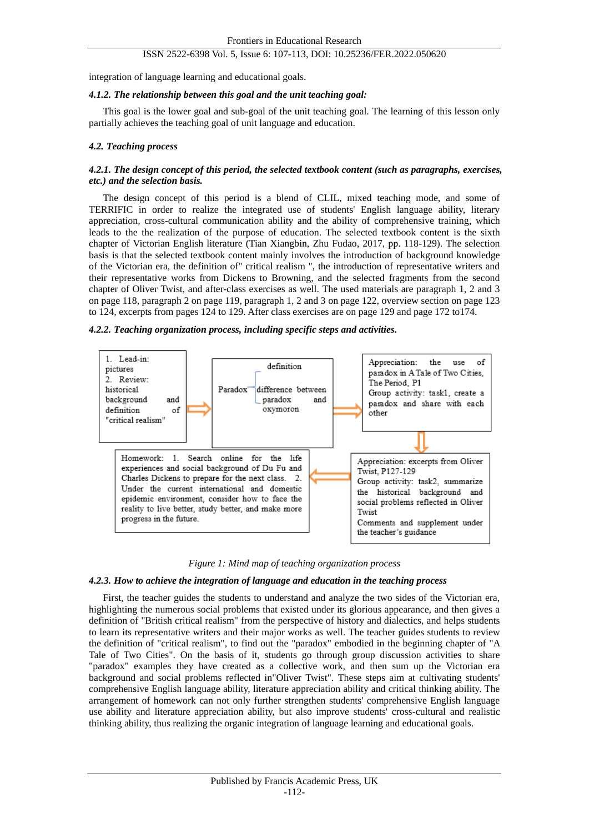integration of language learning and educational goals.

#### *4.1.2. The relationship between this goal and the unit teaching goal:*

This goal is the lower goal and sub-goal of the unit teaching goal. The learning of this lesson only partially achieves the teaching goal of unit language and education.

#### *4.2. Teaching process*

## *4.2.1. The design concept of this period, the selected textbook content (such as paragraphs, exercises, etc.) and the selection basis.*

The design concept of this period is a blend of CLIL, mixed teaching mode, and some of TERRIFIC in order to realize the integrated use of students' English language ability, literary appreciation, cross-cultural communication ability and the ability of comprehensive training, which leads to the the realization of the purpose of education. The selected textbook content is the sixth chapter of Victorian English literature (Tian Xiangbin, Zhu Fudao, 2017, pp. 118-129). The selection basis is that the selected textbook content mainly involves the introduction of background knowledge of the Victorian era, the definition of" critical realism ", the introduction of representative writers and their representative works from Dickens to Browning, and the selected fragments from the second chapter of Oliver Twist, and after-class exercises as well. The used materials are paragraph 1, 2 and 3 on page 118, paragraph 2 on page 119, paragraph 1, 2 and 3 on page 122, overview section on page 123 to 124, excerpts from pages 124 to 129. After class exercises are on page 129 and page 172 to174.

#### *4.2.2. Teaching organization process, including specific steps and activities.*



*Figure 1: Mind map of teaching organization process*

#### *4.2.3. How to achieve the integration of language and education in the teaching process*

First, the teacher guides the students to understand and analyze the two sides of the Victorian era, highlighting the numerous social problems that existed under its glorious appearance, and then gives a definition of "British critical realism" from the perspective of history and dialectics, and helps students to learn its representative writers and their major works as well. The teacher guides students to review the definition of "critical realism", to find out the "paradox" embodied in the beginning chapter of "A Tale of Two Cities". On the basis of it, students go through group discussion activities to share "paradox" examples they have created as a collective work, and then sum up the Victorian era background and social problems reflected in"Oliver Twist". These steps aim at cultivating students' comprehensive English language ability, literature appreciation ability and critical thinking ability. The arrangement of homework can not only further strengthen students' comprehensive English language use ability and literature appreciation ability, but also improve students' cross-cultural and realistic thinking ability, thus realizing the organic integration of language learning and educational goals.